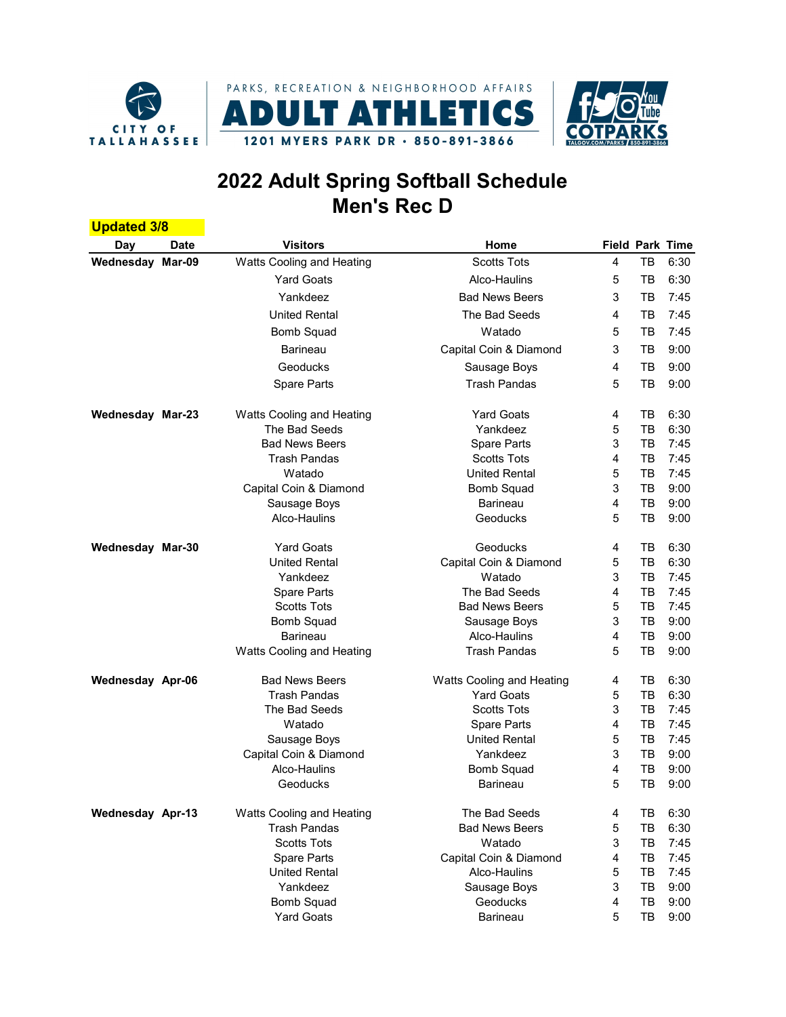



## 2022 Adult Spring Softball Schedule Men's Rec D

| <b>Updated 3/8</b>      |             |                           |                           |   |    |                        |
|-------------------------|-------------|---------------------------|---------------------------|---|----|------------------------|
| Day                     | <b>Date</b> | <b>Visitors</b>           | Home                      |   |    | <b>Field Park Time</b> |
| Wednesday Mar-09        |             | Watts Cooling and Heating | <b>Scotts Tots</b>        | 4 | TB | 6:30                   |
|                         |             | <b>Yard Goats</b>         | Alco-Haulins              | 5 | тв | 6:30                   |
|                         |             | Yankdeez                  | <b>Bad News Beers</b>     | 3 | тв | 7:45                   |
|                         |             | <b>United Rental</b>      | The Bad Seeds             | 4 | тв | 7:45                   |
|                         |             | <b>Bomb Squad</b>         | Watado                    | 5 | тв | 7:45                   |
|                         |             | <b>Barineau</b>           | Capital Coin & Diamond    | 3 | тв | 9:00                   |
|                         |             | Geoducks                  | Sausage Boys              | 4 | тв | 9:00                   |
|                         |             |                           | <b>Trash Pandas</b>       |   |    |                        |
|                         |             | Spare Parts               |                           | 5 | тв | 9:00                   |
| <b>Wednesday Mar-23</b> |             | Watts Cooling and Heating | <b>Yard Goats</b>         | 4 | тв | 6:30                   |
|                         |             | The Bad Seeds             | Yankdeez                  | 5 | TB | 6:30                   |
|                         |             | <b>Bad News Beers</b>     | Spare Parts               | 3 | тв | 7:45                   |
|                         |             | <b>Trash Pandas</b>       | <b>Scotts Tots</b>        | 4 | тв | 7:45                   |
|                         |             | Watado                    | <b>United Rental</b>      | 5 | TВ | 7:45                   |
|                         |             | Capital Coin & Diamond    | <b>Bomb Squad</b>         | 3 | тв | 9:00                   |
|                         |             | Sausage Boys              | <b>Barineau</b>           | 4 | тв | 9:00                   |
|                         |             | Alco-Haulins              | Geoducks                  | 5 | TB | 9:00                   |
| <b>Wednesday Mar-30</b> |             | <b>Yard Goats</b>         | Geoducks                  | 4 | тв | 6:30                   |
|                         |             | <b>United Rental</b>      | Capital Coin & Diamond    | 5 | TВ | 6:30                   |
|                         |             | Yankdeez                  | Watado                    | 3 | тв | 7:45                   |
|                         |             | Spare Parts               | The Bad Seeds             | 4 | тв | 7:45                   |
|                         |             | <b>Scotts Tots</b>        | <b>Bad News Beers</b>     | 5 | TВ | 7:45                   |
|                         |             | <b>Bomb Squad</b>         | Sausage Boys              | 3 | тв | 9:00                   |
|                         |             | <b>Barineau</b>           | Alco-Haulins              | 4 | тв | 9:00                   |
|                         |             | Watts Cooling and Heating | <b>Trash Pandas</b>       | 5 | тв | 9:00                   |
| <b>Wednesday Apr-06</b> |             | <b>Bad News Beers</b>     | Watts Cooling and Heating | 4 | TB | 6:30                   |
|                         |             | <b>Trash Pandas</b>       | <b>Yard Goats</b>         | 5 | TB | 6:30                   |
|                         |             | The Bad Seeds             | <b>Scotts Tots</b>        | 3 | тв | 7:45                   |
|                         |             | Watado                    | Spare Parts               | 4 | тв | 7:45                   |
|                         |             | Sausage Boys              | <b>United Rental</b>      | 5 | TВ | 7:45                   |
|                         |             | Capital Coin & Diamond    | Yankdeez                  | 3 | тв | 9:00                   |
|                         |             | Alco-Haulins              | <b>Bomb Squad</b>         | 4 | тв | 9:00                   |
|                         |             | Geoducks                  | Barineau                  | 5 | TB | 9:00                   |
| <b>Wednesday Apr-13</b> |             | Watts Cooling and Heating | The Bad Seeds             | 4 | тв | 6:30                   |
|                         |             | <b>Trash Pandas</b>       | <b>Bad News Beers</b>     | 5 | TВ | 6:30                   |
|                         |             | <b>Scotts Tots</b>        | Watado                    | 3 | TВ | 7:45                   |
|                         |             | Spare Parts               | Capital Coin & Diamond    | 4 | TВ | 7:45                   |
|                         |             | <b>United Rental</b>      | Alco-Haulins              | 5 | TB | 7:45                   |
|                         |             | Yankdeez                  | Sausage Boys              | 3 | TB | 9:00                   |
|                         |             | <b>Bomb Squad</b>         | Geoducks                  | 4 | ТB | 9:00                   |
|                         |             | <b>Yard Goats</b>         | Barineau                  | 5 | TB | 9:00                   |